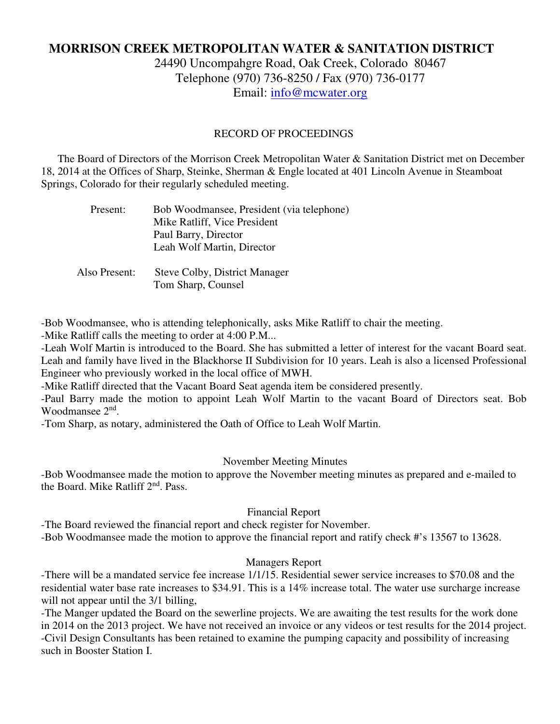# **MORRISON CREEK METROPOLITAN WATER & SANITATION DISTRICT**

24490 Uncompahgre Road, Oak Creek, Colorado 80467 Telephone (970) 736-8250 / Fax (970) 736-0177 Email: info@mcwater.org

## RECORD OF PROCEEDINGS

 The Board of Directors of the Morrison Creek Metropolitan Water & Sanitation District met on December 18, 2014 at the Offices of Sharp, Steinke, Sherman & Engle located at 401 Lincoln Avenue in Steamboat Springs, Colorado for their regularly scheduled meeting.

| Present: | Bob Woodmansee, President (via telephone) |
|----------|-------------------------------------------|
|          | Mike Ratliff, Vice President              |
|          | Paul Barry, Director                      |
|          | Leah Wolf Martin, Director                |
|          |                                           |

 Also Present: Steve Colby, District Manager Tom Sharp, Counsel

-Bob Woodmansee, who is attending telephonically, asks Mike Ratliff to chair the meeting.

-Mike Ratliff calls the meeting to order at 4:00 P.M...

-Leah Wolf Martin is introduced to the Board. She has submitted a letter of interest for the vacant Board seat. Leah and family have lived in the Blackhorse II Subdivision for 10 years. Leah is also a licensed Professional Engineer who previously worked in the local office of MWH.

-Mike Ratliff directed that the Vacant Board Seat agenda item be considered presently.

-Paul Barry made the motion to appoint Leah Wolf Martin to the vacant Board of Directors seat. Bob Woodmansee 2<sup>nd</sup>.

-Tom Sharp, as notary, administered the Oath of Office to Leah Wolf Martin.

#### November Meeting Minutes

-Bob Woodmansee made the motion to approve the November meeting minutes as prepared and e-mailed to the Board. Mike Ratliff 2<sup>nd</sup>. Pass.

Financial Report

-The Board reviewed the financial report and check register for November.

-Bob Woodmansee made the motion to approve the financial report and ratify check #'s 13567 to 13628.

# Managers Report

-There will be a mandated service fee increase 1/1/15. Residential sewer service increases to \$70.08 and the residential water base rate increases to \$34.91. This is a 14% increase total. The water use surcharge increase will not appear until the 3/1 billing,

-The Manger updated the Board on the sewerline projects. We are awaiting the test results for the work done in 2014 on the 2013 project. We have not received an invoice or any videos or test results for the 2014 project. -Civil Design Consultants has been retained to examine the pumping capacity and possibility of increasing such in Booster Station I.